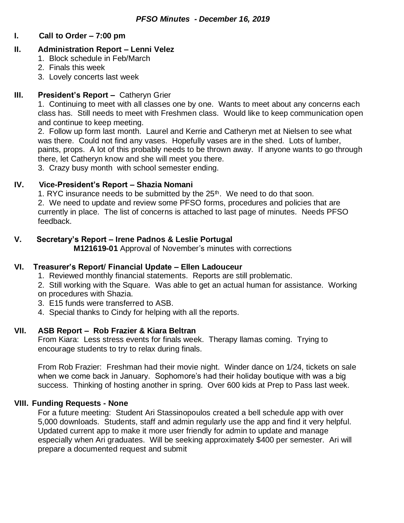#### **I. Call to Order – 7:00 pm**

#### **II. Administration Report – Lenni Velez**

- 1. Block schedule in Feb/March
- 2. Finals this week
- 3. Lovely concerts last week

## **III. President's Report –** Catheryn Grier

1. Continuing to meet with all classes one by one. Wants to meet about any concerns each class has. Still needs to meet with Freshmen class. Would like to keep communication open and continue to keep meeting.

2. Follow up form last month. Laurel and Kerrie and Catheryn met at Nielsen to see what was there. Could not find any vases. Hopefully vases are in the shed. Lots of lumber, paints, props. A lot of this probably needs to be thrown away. If anyone wants to go through there, let Catheryn know and she will meet you there.

3. Crazy busy month with school semester ending.

## **IV. Vice-President's Report – Shazia Nomani**

1. RYC insurance needs to be submitted by the  $25<sup>th</sup>$ . We need to do that soon.

2. We need to update and review some PFSO forms, procedures and policies that are currently in place. The list of concerns is attached to last page of minutes. Needs PFSO feedback.

## **V. Secretary's Report – Irene Padnos & Leslie Portugal**

**M121619-01** Approval of November's minutes with corrections

## **VI. Treasurer's Report/ Financial Update – Ellen Ladouceur**

1. Reviewed monthly financial statements. Reports are still problematic.

2. Still working with the Square. Was able to get an actual human for assistance. Working on procedures with Shazia.

- 3. E15 funds were transferred to ASB.
- 4. Special thanks to Cindy for helping with all the reports.

## **VII. ASB Report – Rob Frazier & Kiara Beltran**

From Kiara: Less stress events for finals week. Therapy llamas coming. Trying to encourage students to try to relax during finals.

From Rob Frazier: Freshman had their movie night. Winder dance on 1/24, tickets on sale when we come back in January. Sophomore's had their holiday boutique with was a big success. Thinking of hosting another in spring. Over 600 kids at Prep to Pass last week.

## **VIII. Funding Requests - None**

For a future meeting: Student Ari Stassinopoulos created a bell schedule app with over 5,000 downloads. Students, staff and admin regularly use the app and find it very helpful. Updated current app to make it more user friendly for admin to update and manage especially when Ari graduates. Will be seeking approximately \$400 per semester. Ari will prepare a documented request and submit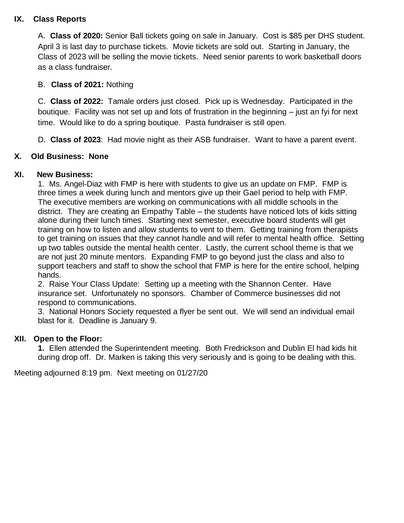## **IX. Class Reports**

A. **Class of 2020:** Senior Ball tickets going on sale in January. Cost is \$85 per DHS student. April 3 is last day to purchase tickets. Movie tickets are sold out. Starting in January, the Class of 2023 will be selling the movie tickets. Need senior parents to work basketball doors as a class fundraiser.

# B. **Class of 2021:** Nothing

C. **Class of 2022:** Tamale orders just closed. Pick up is Wednesday. Participated in the boutique. Facility was not set up and lots of frustration in the beginning – just an fyi for next time. Would like to do a spring boutique. Pasta fundraiser is still open.

D. **Class of 2023**: Had movie night as their ASB fundraiser. Want to have a parent event.

# **X. Old Business: None**

## **XI. New Business:**

1. Ms. Angel-Diaz with FMP is here with students to give us an update on FMP. FMP is three times a week during lunch and mentors give up their Gael period to help with FMP. The executive members are working on communications with all middle schools in the district. They are creating an Empathy Table – the students have noticed lots of kids sitting alone during their lunch times. Starting next semester, executive board students will get training on how to listen and allow students to vent to them. Getting training from therapists to get training on issues that they cannot handle and will refer to mental health office. Setting up two tables outside the mental health center. Lastly, the current school theme is that we are not just 20 minute mentors. Expanding FMP to go beyond just the class and also to support teachers and staff to show the school that FMP is here for the entire school, helping hands.

2. Raise Your Class Update: Setting up a meeting with the Shannon Center. Have insurance set. Unfortunately no sponsors. Chamber of Commerce businesses did not respond to communications.

3. National Honors Society requested a flyer be sent out. We will send an individual email blast for it. Deadline is January 9.

## **XII. Open to the Floor:**

**1.** Ellen attended the Superintendent meeting. Both Fredrickson and Dublin El had kids hit during drop off. Dr. Marken is taking this very seriously and is going to be dealing with this.

Meeting adjourned 8:19 pm. Next meeting on 01/27/20